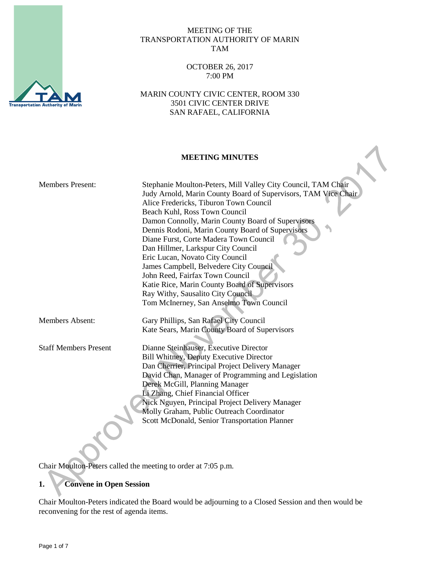

#### MEETING OF THE TRANSPORTATION AUTHORITY OF MARIN TAM

### OCTOBER 26, 2017 7:00 PM

MARIN COUNTY CIVIC CENTER, ROOM 330 3501 CIVIC CENTER DRIVE SAN RAFAEL, CALIFORNIA

## **MEETING MINUTES**

| <b>Members Present:</b>      | Stephanie Moulton-Peters, Mill Valley City Council, TAM Chair<br>Judy Arnold, Marin County Board of Supervisors, TAM Vice Chair<br>Alice Fredericks, Tiburon Town Council<br>Beach Kuhl, Ross Town Council<br>Damon Connolly, Marin County Board of Supervisors<br>Dennis Rodoni, Marin County Board of Supervisors<br>Diane Furst, Corte Madera Town Council<br>Dan Hillmer, Larkspur City Council<br>Eric Lucan, Novato City Council<br>James Campbell, Belvedere City Council<br>John Reed, Fairfax Town Council<br>Katie Rice, Marin County Board of Supervisors<br>Ray Withy, Sausalito City Council |
|------------------------------|-----------------------------------------------------------------------------------------------------------------------------------------------------------------------------------------------------------------------------------------------------------------------------------------------------------------------------------------------------------------------------------------------------------------------------------------------------------------------------------------------------------------------------------------------------------------------------------------------------------|
|                              | Tom McInerney, San Anselmo Town Council                                                                                                                                                                                                                                                                                                                                                                                                                                                                                                                                                                   |
| <b>Members Absent:</b>       | Gary Phillips, San Rafael City Council                                                                                                                                                                                                                                                                                                                                                                                                                                                                                                                                                                    |
|                              | Kate Sears, Marin County Board of Supervisors                                                                                                                                                                                                                                                                                                                                                                                                                                                                                                                                                             |
| <b>Staff Members Present</b> | Dianne Steinhauser, Executive Director                                                                                                                                                                                                                                                                                                                                                                                                                                                                                                                                                                    |
|                              | <b>Bill Whitney, Deputy Executive Director</b>                                                                                                                                                                                                                                                                                                                                                                                                                                                                                                                                                            |
|                              | Dan Cherrier, Principal Project Delivery Manager                                                                                                                                                                                                                                                                                                                                                                                                                                                                                                                                                          |
|                              | David Chan, Manager of Programming and Legislation                                                                                                                                                                                                                                                                                                                                                                                                                                                                                                                                                        |
|                              | Derek McGill, Planning Manager                                                                                                                                                                                                                                                                                                                                                                                                                                                                                                                                                                            |
|                              | Li Zhang, Chief Financial Officer                                                                                                                                                                                                                                                                                                                                                                                                                                                                                                                                                                         |
|                              | Nick Nguyen, Principal Project Delivery Manager                                                                                                                                                                                                                                                                                                                                                                                                                                                                                                                                                           |
|                              | Molly Graham, Public Outreach Coordinator                                                                                                                                                                                                                                                                                                                                                                                                                                                                                                                                                                 |
|                              | Scott McDonald, Senior Transportation Planner                                                                                                                                                                                                                                                                                                                                                                                                                                                                                                                                                             |
|                              |                                                                                                                                                                                                                                                                                                                                                                                                                                                                                                                                                                                                           |
|                              |                                                                                                                                                                                                                                                                                                                                                                                                                                                                                                                                                                                                           |

Chair Moulton-Peters called the meeting to order at 7:05 p.m.

# **1. Convene in Open Session**

Chair Moulton-Peters indicated the Board would be adjourning to a Closed Session and then would be reconvening for the rest of agenda items.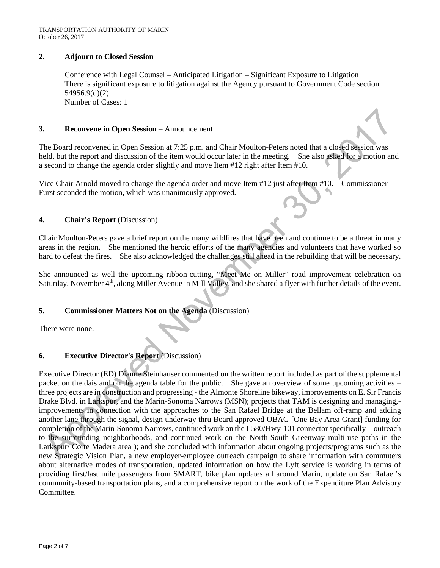#### **2. Adjourn to Closed Session**

Conference with Legal Counsel – Anticipated Litigation – Significant Exposure to Litigation There is significant exposure to litigation against the Agency pursuant to Government Code section 54956.9(d)(2) Number of Cases: 1

#### **3. Reconvene in Open Session –** Announcement

The Board reconvened in Open Session at 7:25 p.m. and Chair Moulton-Peters noted that a closed session was held, but the report and discussion of the item would occur later in the meeting. She also asked for a motion and a second to change the agenda order slightly and move Item #12 right after Item #10.

Vice Chair Arnold moved to change the agenda order and move Item #12 just after Item #10. Commissioner Furst seconded the motion, which was unanimously approved.

#### **4. Chair's Report** (Discussion)

Chair Moulton-Peters gave a brief report on the many wildfires that have been and continue to be a threat in many areas in the region. She mentioned the heroic efforts of the many agencies and volunteers that have worked so hard to defeat the fires. She also acknowledged the challenges still ahead in the rebuilding that will be necessary.

She announced as well the upcoming ribbon-cutting, "Meet Me on Miller" road improvement celebration on Saturday, November 4<sup>th</sup>, along Miller Avenue in Mill Valley, and she shared a flyer with further details of the event.

### **5. Commissioner Matters Not on the Agenda** (Discussion)

There were none.

### **6. Executive Director's Report** (Discussion)

Executive Director (ED) Dianne Steinhauser commented on the written report included as part of the supplemental packet on the dais and on the agenda table for the public. She gave an overview of some upcoming activities – three projects are in construction and progressing - the Almonte Shoreline bikeway, improvements on E. Sir Francis Drake Blvd. in Larkspur, and the Marin-Sonoma Narrows (MSN); projects that TAM is designing and managing,improvements in connection with the approaches to the San Rafael Bridge at the Bellam off-ramp and adding another lane through the signal, design underway thru Board approved OBAG [One Bay Area Grant] funding for completion of the Marin-Sonoma Narrows, continued work on the I-580/Hwy-101 connector specifically outreach to the surrounding neighborhoods, and continued work on the North-South Greenway multi-use paths in the Larkspur/ Corte Madera area ); and she concluded with information about ongoing projects/programs such as the new Strategic Vision Plan, a new employer-employee outreach campaign to share information with commuters about alternative modes of transportation, updated information on how the Lyft service is working in terms of providing first/last mile passengers from SMART, bike plan updates all around Marin, update on San Rafael's community-based transportation plans, and a comprehensive report on the work of the Expenditure Plan Advisory Committee.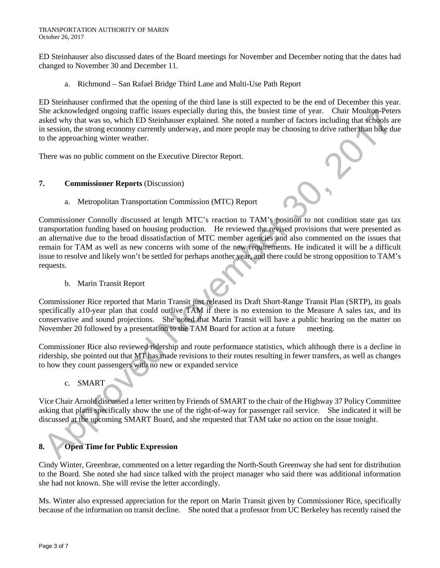ED Steinhauser also discussed dates of the Board meetings for November and December noting that the dates had changed to November 30 and December 11.

a. Richmond – San Rafael Bridge Third Lane and Multi-Use Path Report

ED Steinhauser confirmed that the opening of the third lane is still expected to be the end of December this year. She acknowledged ongoing traffic issues especially during this, the busiest time of year. Chair Moulton-Peters asked why that was so, which ED Steinhauser explained. She noted a number of factors including that schools are in session, the strong economy currently underway, and more people may be choosing to drive rather than bike due to the approaching winter weather.

There was no public comment on the Executive Director Report.

### **7. Commissioner Reports** (Discussion)

a. Metropolitan Transportation Commission (MTC) Report

Commissioner Connolly discussed at length MTC's reaction to TAM's position to not condition state gas tax transportation funding based on housing production. He reviewed the revised provisions that were presented as an alternative due to the broad dissatisfaction of MTC member agencies and also commented on the issues that remain for TAM as well as new concerns with some of the new requirements. He indicated it will be a difficult issue to resolve and likely won't be settled for perhaps another year, and there could be strong opposition to TAM's requests.

b. Marin Transit Report

Commissioner Rice reported that Marin Transit just released its Draft Short-Range Transit Plan (SRTP), its goals specifically a10-year plan that could outlive TAM if there is no extension to the Measure A sales tax, and its conservative and sound projections. She noted that Marin Transit will have a public hearing on the matter on November 20 followed by a presentation to the TAM Board for action at a future meeting.

Commissioner Rice also reviewed ridership and route performance statistics, which although there is a decline in ridership, she pointed out that MT has made revisions to their routes resulting in fewer transfers, as well as changes to how they count passengers with no new or expanded service

c. SMART

Vice Chair Arnold discussed a letter written by Friends of SMART to the chair of the Highway 37 Policy Committee asking that plans specifically show the use of the right-of-way for passenger rail service. She indicated it will be discussed at the upcoming SMART Board, and she requested that TAM take no action on the issue tonight.

# **8. Open Time for Public Expression**

Cindy Winter, Greenbrae, commented on a letter regarding the North-South Greenway she had sent for distribution to the Board. She noted she had since talked with the project manager who said there was additional information she had not known. She will revise the letter accordingly.

Ms. Winter also expressed appreciation for the report on Marin Transit given by Commissioner Rice, specifically because of the information on transit decline. She noted that a professor from UC Berkeley has recently raised the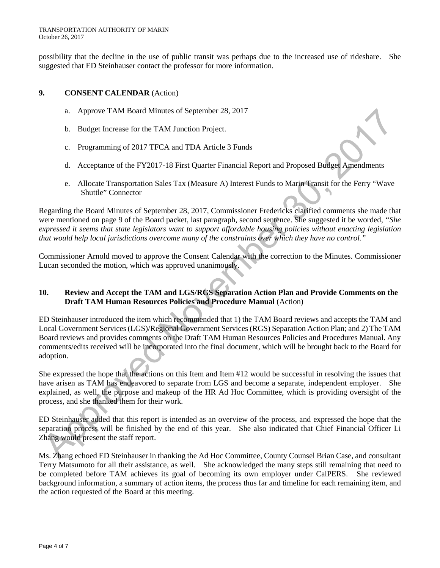possibility that the decline in the use of public transit was perhaps due to the increased use of rideshare. She suggested that ED Steinhauser contact the professor for more information.

#### **9. CONSENT CALENDAR** (Action)

- a. Approve TAM Board Minutes of September 28, 2017
- b. Budget Increase for the TAM Junction Project.
- c. Programming of 2017 TFCA and TDA Article 3 Funds
- d. Acceptance of the FY2017-18 First Quarter Financial Report and Proposed Budget Amendments
- e. Allocate Transportation Sales Tax (Measure A) Interest Funds to Marin Transit for the Ferry "Wave Shuttle" Connector

Regarding the Board Minutes of September 28, 2017, Commissioner Fredericks clarified comments she made that were mentioned on page 9 of the Board packet, last paragraph, second sentence. She suggested it be worded, *"She expressed it seems that state legislators want to support affordable housing policies without enacting legislation that would help local jurisdictions overcome many of the constraints over which they have no control."*

Commissioner Arnold moved to approve the Consent Calendar with the correction to the Minutes. Commissioner Lucan seconded the motion, which was approved unanimously.

#### **10. Review and Accept the TAM and LGS/RGS Separation Action Plan and Provide Comments on the Draft TAM Human Resources Policies and Procedure Manual** (Action)

ED Steinhauser introduced the item which recommended that 1) the TAM Board reviews and accepts the TAM and Local Government Services (LGS)/Regional Government Services (RGS) Separation Action Plan; and 2) The TAM Board reviews and provides comments on the Draft TAM Human Resources Policies and Procedures Manual. Any comments/edits received will be incorporated into the final document, which will be brought back to the Board for adoption.

She expressed the hope that the actions on this Item and Item #12 would be successful in resolving the issues that have arisen as TAM has endeavored to separate from LGS and become a separate, independent employer. She explained, as well, the purpose and makeup of the HR Ad Hoc Committee, which is providing oversight of the process, and she thanked them for their work.

ED Steinhauser added that this report is intended as an overview of the process, and expressed the hope that the separation process will be finished by the end of this year. She also indicated that Chief Financial Officer Li Zhang would present the staff report.

Ms. Zhang echoed ED Steinhauser in thanking the Ad Hoc Committee, County Counsel Brian Case, and consultant Terry Matsumoto for all their assistance, as well. She acknowledged the many steps still remaining that need to be completed before TAM achieves its goal of becoming its own employer under CalPERS. She reviewed background information, a summary of action items, the process thus far and timeline for each remaining item, and the action requested of the Board at this meeting.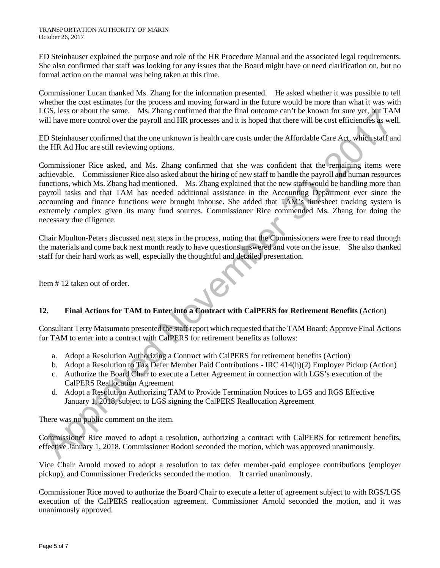ED Steinhauser explained the purpose and role of the HR Procedure Manual and the associated legal requirements. She also confirmed that staff was looking for any issues that the Board might have or need clarification on, but no formal action on the manual was being taken at this time.

Commissioner Lucan thanked Ms. Zhang for the information presented. He asked whether it was possible to tell whether the cost estimates for the process and moving forward in the future would be more than what it was with LGS, less or about the same. Ms. Zhang confirmed that the final outcome can't be known for sure yet, but TAM will have more control over the payroll and HR processes and it is hoped that there will be cost efficiencies as well.

ED Steinhauser confirmed that the one unknown is health care costs under the Affordable Care Act, which staff and the HR Ad Hoc are still reviewing options.

Commissioner Rice asked, and Ms. Zhang confirmed that she was confident that the remaining items were achievable. Commissioner Rice also asked about the hiring of new staff to handle the payroll and human resources functions, which Ms. Zhang had mentioned. Ms. Zhang explained that the new staff would be handling more than payroll tasks and that TAM has needed additional assistance in the Accounting Department ever since the accounting and finance functions were brought inhouse. She added that TAM's timesheet tracking system is extremely complex given its many fund sources. Commissioner Rice commended Ms. Zhang for doing the necessary due diligence.

Chair Moulton-Peters discussed next steps in the process, noting that the Commissioners were free to read through the materials and come back next month ready to have questions answered and vote on the issue. She also thanked staff for their hard work as well, especially the thoughtful and detailed presentation.

Item # 12 taken out of order.

### **12. Final Actions for TAM to Enter into a Contract with CalPERS for Retirement Benefits** (Action)

Consultant Terry Matsumoto presented the staff report which requested that the TAM Board: Approve Final Actions for TAM to enter into a contract with CalPERS for retirement benefits as follows:

- a. Adopt a Resolution Authorizing a Contract with CalPERS for retirement benefits (Action)
- b. Adopt a Resolution to Tax Defer Member Paid Contributions IRC 414(h)(2) Employer Pickup (Action)
- c. Authorize the Board Chair to execute a Letter Agreement in connection with LGS's execution of the CalPERS Reallocation Agreement
- d. Adopt a Resolution Authorizing TAM to Provide Termination Notices to LGS and RGS Effective January 1, 2018, subject to LGS signing the CalPERS Reallocation Agreement

There was no public comment on the item.

Commissioner Rice moved to adopt a resolution, authorizing a contract with CalPERS for retirement benefits, effective January 1, 2018. Commissioner Rodoni seconded the motion, which was approved unanimously.

Vice Chair Arnold moved to adopt a resolution to tax defer member-paid employee contributions (employer pickup), and Commissioner Fredericks seconded the motion. It carried unanimously.

Commissioner Rice moved to authorize the Board Chair to execute a letter of agreement subject to with RGS/LGS execution of the CalPERS reallocation agreement. Commissioner Arnold seconded the motion, and it was unanimously approved.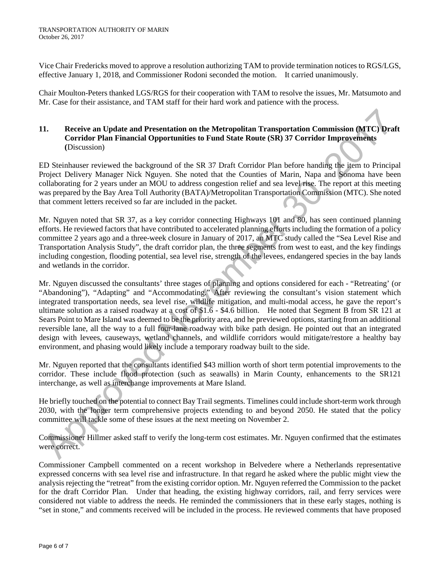Vice Chair Fredericks moved to approve a resolution authorizing TAM to provide termination notices to RGS/LGS, effective January 1, 2018, and Commissioner Rodoni seconded the motion. It carried unanimously.

Chair Moulton-Peters thanked LGS/RGS for their cooperation with TAM to resolve the issues, Mr. Matsumoto and Mr. Case for their assistance, and TAM staff for their hard work and patience with the process.

### **11. Receive an Update and Presentation on the Metropolitan Transportation Commission (MTC) Draft Corridor Plan Financial Opportunities to Fund State Route (SR) 37 Corridor Improvements (**Discussion)

ED Steinhauser reviewed the background of the SR 37 Draft Corridor Plan before handing the item to Principal Project Delivery Manager Nick Nguyen. She noted that the Counties of Marin, Napa and Sonoma have been collaborating for 2 years under an MOU to address congestion relief and sea level rise. The report at this meeting was prepared by the Bay Area Toll Authority (BATA)/Metropolitan Transportation Commission (MTC). She noted that comment letters received so far are included in the packet.

Mr. Nguyen noted that SR 37, as a key corridor connecting Highways 101 and 80, has seen continued planning efforts. He reviewed factors that have contributed to accelerated planning efforts including the formation of a policy committee 2 years ago and a three-week closure in January of 2017, an MTC study called the "Sea Level Rise and Transportation Analysis Study", the draft corridor plan, the three segments from west to east, and the key findings including congestion, flooding potential, sea level rise, strength of the levees, endangered species in the bay lands and wetlands in the corridor.

Mr. Nguyen discussed the consultants' three stages of planning and options considered for each - "Retreating' (or "Abandoning"), "Adapting" and "Accommodating." After reviewing the consultant's vision statement which integrated transportation needs, sea level rise, wildlife mitigation, and multi-modal access, he gave the report's ultimate solution as a raised roadway at a cost of \$1.6 - \$4.6 billion. He noted that Segment B from SR 121 at Sears Point to Mare Island was deemed to be the priority area, and he previewed options, starting from an additional reversible lane, all the way to a full four-lane roadway with bike path design. He pointed out that an integrated design with levees, causeways, wetland channels, and wildlife corridors would mitigate/restore a healthy bay environment, and phasing would likely include a temporary roadway built to the side.

Mr. Nguyen reported that the consultants identified \$43 million worth of short term potential improvements to the corridor. These include flood protection (such as seawalls) in Marin County, enhancements to the SR121 interchange, as well as interchange improvements at Mare Island.

He briefly touched on the potential to connect Bay Trail segments. Timelines could include short-term work through 2030, with the longer term comprehensive projects extending to and beyond 2050. He stated that the policy committee will tackle some of these issues at the next meeting on November 2.

Commissioner Hillmer asked staff to verify the long-term cost estimates. Mr. Nguyen confirmed that the estimates were correct.

Commissioner Campbell commented on a recent workshop in Belvedere where a Netherlands representative expressed concerns with sea level rise and infrastructure. In that regard he asked where the public might view the analysis rejecting the "retreat" from the existing corridor option. Mr. Nguyen referred the Commission to the packet for the draft Corridor Plan. Under that heading, the existing highway corridors, rail, and ferry services were considered not viable to address the needs. He reminded the commissioners that in these early stages, nothing is "set in stone," and comments received will be included in the process. He reviewed comments that have proposed